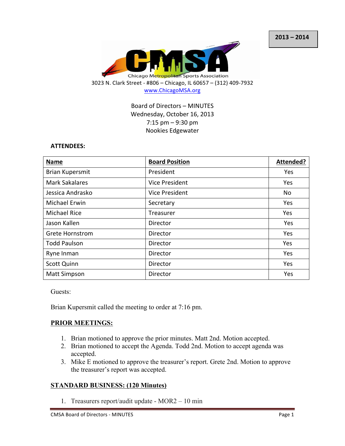

Board of Directors - MINUTES Wednesday, October 16, 2013  $7:15$  pm  $-9:30$  pm Nookies Edgewater

### **ATTENDEES:**

| <b>Name</b>            | <b>Board Position</b> | Attended? |
|------------------------|-----------------------|-----------|
| <b>Brian Kupersmit</b> | President             | Yes       |
| <b>Mark Sakalares</b>  | Vice President        | Yes       |
| Jessica Andrasko       | Vice President        | No        |
| <b>Michael Erwin</b>   | Secretary             | Yes       |
| <b>Michael Rice</b>    | Treasurer             | Yes       |
| Jason Kallen           | Director              | Yes       |
| <b>Grete Hornstrom</b> | Director              | Yes       |
| <b>Todd Paulson</b>    | Director              | Yes       |
| Ryne Inman             | Director              | Yes       |
| <b>Scott Quinn</b>     | Director              | Yes       |
| <b>Matt Simpson</b>    | Director              | Yes       |

Guests:

Brian Kupersmit called the meeting to order at 7:16 pm.

## **PRIOR MEETINGS:**

- 1. Brian motioned to approve the prior minutes. Matt 2nd. Motion accepted.
- 2. Brian motioned to accept the Agenda. Todd 2nd. Motion to accept agenda was accepted.
- 3. Mike E motioned to approve the treasurer's report. Grete 2nd. Motion to approve the treasurer's report was accepted.

## **STANDARD BUSINESS: (120 Minutes)**

1. Treasurers report/audit update - MOR2 – 10 min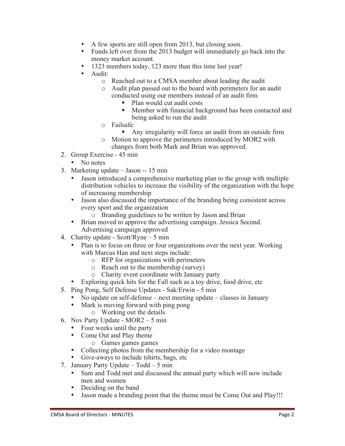- A few sports are still open from 2013, but closing soon.<br>• Funds left over from the 2013 budget will immediately
- Funds left over from the 2013 budget will immediately go back into the money market account.
- 1323 members today, 123 more than this time last year!
- Audit:
	- o Reached out to a CMSA member about leading the audit
	- o Audit plan passed out to the board with perimeters for an audit conducted using our members instead of an audit firm
		- Plan would cut audit costs
		- Member with financial background has been contacted and being asked to run the audit
	- o Failsafe:
		- Any irregularity will force an audit from an outside firm
	- o Motion to approve the perimeters introduced by MOR2 with changes from both Mark and Brian was approved.
- 2. Group Exercise 45 min
	- No notes
- 3. Marketing update Jason -- 15 min
	- Jason introduced a comprehensive marketing plan to the group with multiple distribution vehicles to increase the visibility of the organization with the hope of increasing membership
	- Jason also discussed the importance of the branding being consistent across every sport and the organization
		- o Branding guidelines to be written by Jason and Brian
	- Brian moved to approve the advertising campaign. Jessica Second. Advertising campaign approved
- 4. Charity update Scott/Ryne 5 min
	- Plan is to focus on three or four organizations over the next year. Working with Marcus Han and next steps include:
		- o RFP for organizations with perimeters
		- o Reach out to the membership (survey)
		- o Charity event coordinate with January party
	- Exploring quick hits for the Fall such as a toy drive, food drive, etc
- 5. Ping Pong, Self Defense Updates Sak/Erwin 5 min
	- No update on self-defense next meeting update classes in January
	- Mark is moving forward with ping pong
		- o Working out the details
- 6. Nov Party Update MOR2 5 min
	- Four weeks until the party
	- Come Out and Play theme
		- o Games games games
	- Collecting photos from the membership for a video montage
	- Give-aways to include tshirts, bags, etc
- 7. January Party Update Todd 5 min
	- Sam and Todd met and discussed the annual party which will now include men and women
	- Deciding on the band
	- Jason made a branding point that the theme must be Come Out and Play!!!